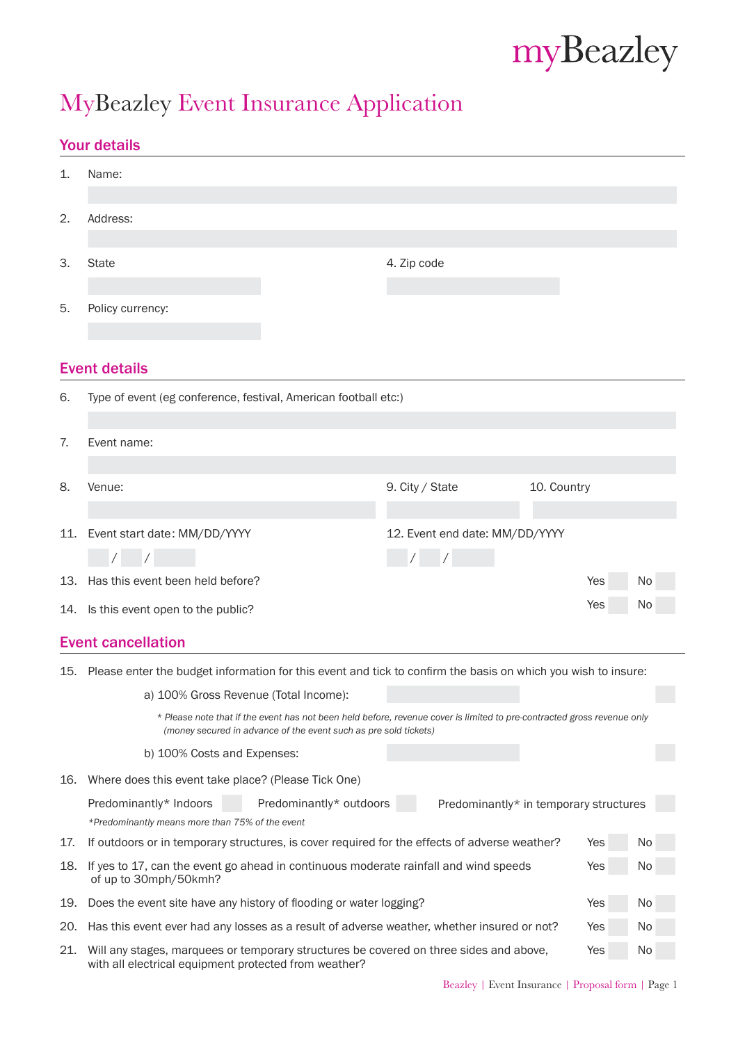# myBeazley

# MyBeazley Event Insurance Application

## Your details

|     | TUUT UGLAIIS                                                                                                                                                                                |                                        |             |     |    |  |  |  |  |
|-----|---------------------------------------------------------------------------------------------------------------------------------------------------------------------------------------------|----------------------------------------|-------------|-----|----|--|--|--|--|
| 1.  | Name:                                                                                                                                                                                       |                                        |             |     |    |  |  |  |  |
|     |                                                                                                                                                                                             |                                        |             |     |    |  |  |  |  |
| 2.  | Address:                                                                                                                                                                                    |                                        |             |     |    |  |  |  |  |
| 3.  | State                                                                                                                                                                                       | 4. Zip code                            |             |     |    |  |  |  |  |
| 5.  | Policy currency:                                                                                                                                                                            |                                        |             |     |    |  |  |  |  |
|     | <b>Event details</b>                                                                                                                                                                        |                                        |             |     |    |  |  |  |  |
| 6.  | Type of event (eg conference, festival, American football etc:)                                                                                                                             |                                        |             |     |    |  |  |  |  |
|     |                                                                                                                                                                                             |                                        |             |     |    |  |  |  |  |
| 7.  | Event name:                                                                                                                                                                                 |                                        |             |     |    |  |  |  |  |
|     |                                                                                                                                                                                             |                                        | 10. Country |     |    |  |  |  |  |
| 8.  | Venue:                                                                                                                                                                                      | 9. City / State                        |             |     |    |  |  |  |  |
|     |                                                                                                                                                                                             |                                        |             |     |    |  |  |  |  |
|     | 11. Event start date: MM/DD/YYYY                                                                                                                                                            | 12. Event end date: MM/DD/YYYY         |             |     |    |  |  |  |  |
|     | $\sqrt{2}$                                                                                                                                                                                  | $\frac{1}{2}$                          |             |     |    |  |  |  |  |
| 13. | Has this event been held before?                                                                                                                                                            |                                        |             | Yes | No |  |  |  |  |
|     | 14. Is this event open to the public?                                                                                                                                                       |                                        |             | Yes | No |  |  |  |  |
|     | <b>Event cancellation</b>                                                                                                                                                                   |                                        |             |     |    |  |  |  |  |
| 15. | Please enter the budget information for this event and tick to confirm the basis on which you wish to insure:                                                                               |                                        |             |     |    |  |  |  |  |
|     | a) 100% Gross Revenue (Total Income):                                                                                                                                                       |                                        |             |     |    |  |  |  |  |
|     | * Please note that if the event has not been held before, revenue cover is limited to pre-contracted gross revenue only<br>(money secured in advance of the event such as pre sold tickets) |                                        |             |     |    |  |  |  |  |
|     | b) 100% Costs and Expenses:                                                                                                                                                                 |                                        |             |     |    |  |  |  |  |
| 16. | Where does this event take place? (Please Tick One)                                                                                                                                         |                                        |             |     |    |  |  |  |  |
|     | Predominantly* Indoors<br>Predominantly* outdoors                                                                                                                                           | Predominantly* in temporary structures |             |     |    |  |  |  |  |
|     | *Predominantly means more than 75% of the event                                                                                                                                             |                                        |             |     |    |  |  |  |  |
| 17. | If outdoors or in temporary structures, is cover required for the effects of adverse weather?                                                                                               |                                        |             | Yes | No |  |  |  |  |
| 18. | If yes to 17, can the event go ahead in continuous moderate rainfall and wind speeds<br>Yes<br>No<br>of up to 30mph/50kmh?                                                                  |                                        |             |     |    |  |  |  |  |
| 19. | Does the event site have any history of flooding or water logging?<br>Yes<br>No                                                                                                             |                                        |             |     |    |  |  |  |  |
| 20. | Has this event ever had any losses as a result of adverse weather, whether insured or not?<br>Yes<br>No                                                                                     |                                        |             |     |    |  |  |  |  |
| 21. | Will any stages, marquees or temporary structures be covered on three sides and above,<br>with all electrical equipment protected from weather?                                             |                                        |             | Yes | No |  |  |  |  |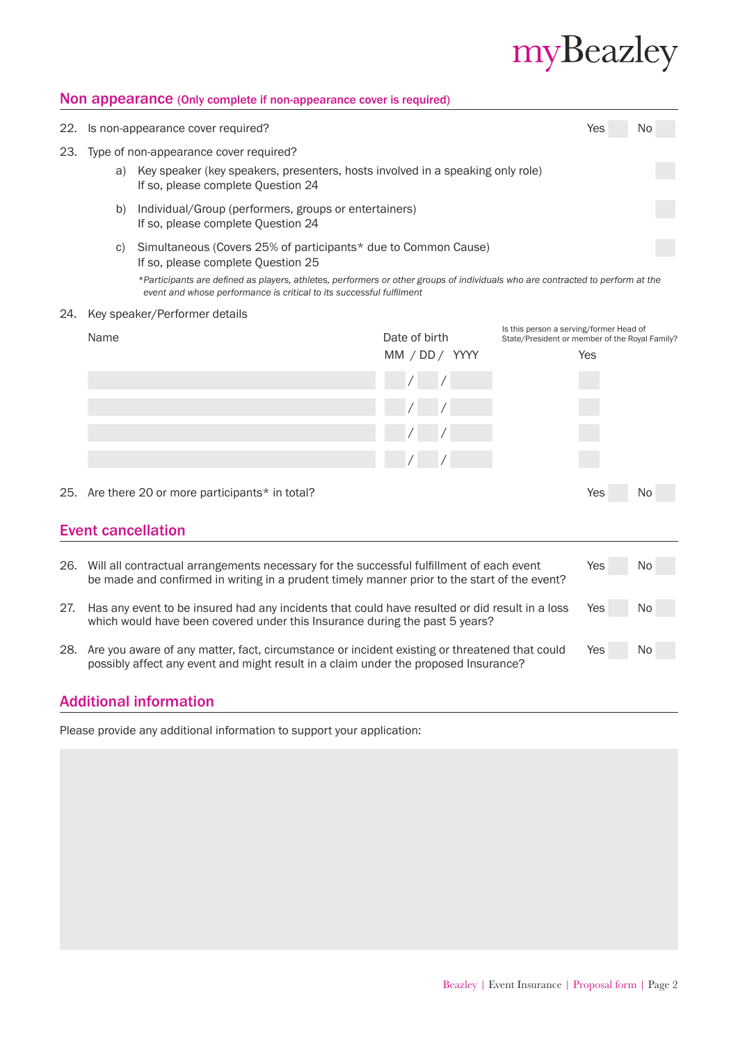# myBeazley

#### Non appearance (Only complete if non-appearance cover is required)

| 22.                       |                                                                                                                                                                                              | Is non-appearance cover required?                                                                                                                                                                      |               |                |                                                                                           | Yes | No |
|---------------------------|----------------------------------------------------------------------------------------------------------------------------------------------------------------------------------------------|--------------------------------------------------------------------------------------------------------------------------------------------------------------------------------------------------------|---------------|----------------|-------------------------------------------------------------------------------------------|-----|----|
| 23.                       | Type of non-appearance cover required?<br>Key speaker (key speakers, presenters, hosts involved in a speaking only role)<br>a)<br>If so, please complete Question 24                         |                                                                                                                                                                                                        |               |                |                                                                                           |     |    |
|                           | Individual/Group (performers, groups or entertainers)<br>b)<br>If so, please complete Question 24                                                                                            |                                                                                                                                                                                                        |               |                |                                                                                           |     |    |
|                           | C)                                                                                                                                                                                           | Simultaneous (Covers 25% of participants* due to Common Cause)<br>If so, please complete Question 25                                                                                                   |               |                |                                                                                           |     |    |
|                           |                                                                                                                                                                                              | *Participants are defined as players, athletes, performers or other groups of individuals who are contracted to perform at the<br>event and whose performance is critical to its successful fulfilment |               |                |                                                                                           |     |    |
| 24.                       |                                                                                                                                                                                              | Key speaker/Performer details                                                                                                                                                                          |               |                |                                                                                           |     |    |
|                           | Name                                                                                                                                                                                         |                                                                                                                                                                                                        | Date of birth |                | Is this person a serving/former Head of<br>State/President or member of the Royal Family? |     |    |
|                           |                                                                                                                                                                                              |                                                                                                                                                                                                        |               | MM / DD / YYYY |                                                                                           | Yes |    |
|                           |                                                                                                                                                                                              |                                                                                                                                                                                                        |               |                |                                                                                           |     |    |
|                           |                                                                                                                                                                                              |                                                                                                                                                                                                        |               |                |                                                                                           |     |    |
|                           |                                                                                                                                                                                              |                                                                                                                                                                                                        |               |                |                                                                                           |     |    |
|                           |                                                                                                                                                                                              |                                                                                                                                                                                                        |               |                |                                                                                           |     |    |
|                           |                                                                                                                                                                                              | 25. Are there 20 or more participants* in total?                                                                                                                                                       |               |                |                                                                                           | Yes | No |
| <b>Event cancellation</b> |                                                                                                                                                                                              |                                                                                                                                                                                                        |               |                |                                                                                           |     |    |
|                           |                                                                                                                                                                                              |                                                                                                                                                                                                        |               |                |                                                                                           |     |    |
|                           | 26. Will all contractual arrangements necessary for the successful fulfillment of each event<br>be made and confirmed in writing in a prudent timely manner prior to the start of the event? |                                                                                                                                                                                                        |               |                | Yes                                                                                       | No  |    |
| 27.                       | Has any event to be insured had any incidents that could have resulted or did result in a loss<br>which would have been covered under this Insurance during the past 5 years?                |                                                                                                                                                                                                        |               | Yes            | No                                                                                        |     |    |
|                           | 28. Are you aware of any matter, fact, circumstance or incident existing or threatened that could<br>possibly affect any event and might result in a claim under the proposed Insurance?     |                                                                                                                                                                                                        |               |                |                                                                                           | Yes | No |

### Additional information

Please provide any additional information to support your application: